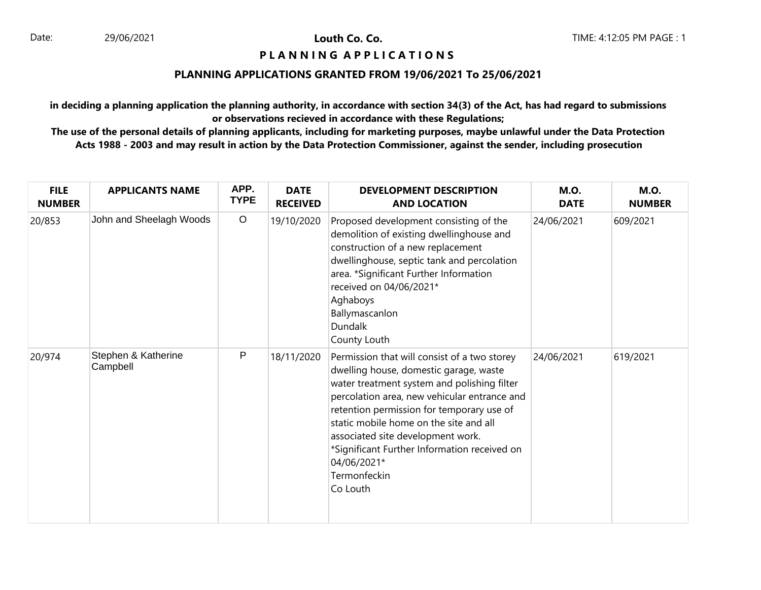# **PIANNING APPLICATIONS**

#### **PLANNING APPLICATIONS GRANTED FROM 19/06/2021 To 25/06/2021**

**in deciding a planning application the planning authority, in accordance with section 34(3) of the Act, has had regard to submissions or observations recieved in accordance with these Regulations;**

| <b>FILE</b><br><b>NUMBER</b> | <b>APPLICANTS NAME</b>          | APP.<br><b>TYPE</b> | <b>DATE</b><br><b>RECEIVED</b> | <b>DEVELOPMENT DESCRIPTION</b><br><b>AND LOCATION</b>                                                                                                                                                                                                                                                                                                                                                        | <b>M.O.</b><br><b>DATE</b> | <b>M.O.</b><br><b>NUMBER</b> |
|------------------------------|---------------------------------|---------------------|--------------------------------|--------------------------------------------------------------------------------------------------------------------------------------------------------------------------------------------------------------------------------------------------------------------------------------------------------------------------------------------------------------------------------------------------------------|----------------------------|------------------------------|
| 20/853                       | John and Sheelagh Woods         | $\circ$             | 19/10/2020                     | Proposed development consisting of the<br>demolition of existing dwellinghouse and<br>construction of a new replacement<br>dwellinghouse, septic tank and percolation<br>area. *Significant Further Information<br>received on 04/06/2021*<br>Aghaboys<br>Ballymascanlon<br>Dundalk<br>County Louth                                                                                                          | 24/06/2021                 | 609/2021                     |
| 20/974                       | Stephen & Katherine<br>Campbell | P                   | 18/11/2020                     | Permission that will consist of a two storey<br>dwelling house, domestic garage, waste<br>water treatment system and polishing filter<br>percolation area, new vehicular entrance and<br>retention permission for temporary use of<br>static mobile home on the site and all<br>associated site development work.<br>*Significant Further Information received on<br>04/06/2021*<br>Termonfeckin<br>Co Louth | 24/06/2021                 | 619/2021                     |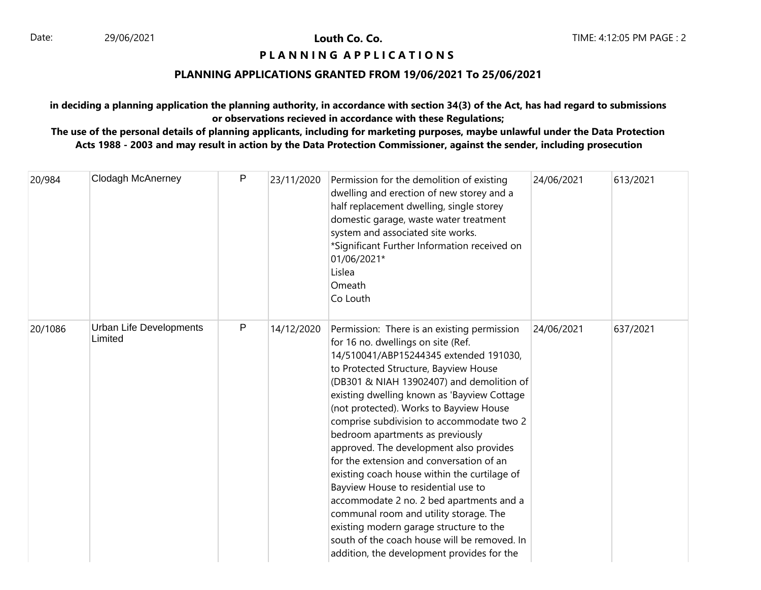# **P L A N N I N G A P P L I C A T I O N S**

# **PLANNING APPLICATIONS GRANTED FROM 19/06/2021 To 25/06/2021**

**in deciding a planning application the planning authority, in accordance with section 34(3) of the Act, has had regard to submissions or observations recieved in accordance with these Regulations;**

| 20/984  | <b>Clodagh McAnerney</b>           | P | 23/11/2020 | Permission for the demolition of existing<br>dwelling and erection of new storey and a<br>half replacement dwelling, single storey<br>domestic garage, waste water treatment<br>system and associated site works.<br>*Significant Further Information received on<br>01/06/2021*<br>Lislea<br>Omeath<br>Co Louth                                                                                                                                                                                                                                                                                                                                                                                                                                                                                          | 24/06/2021 | 613/2021 |
|---------|------------------------------------|---|------------|-----------------------------------------------------------------------------------------------------------------------------------------------------------------------------------------------------------------------------------------------------------------------------------------------------------------------------------------------------------------------------------------------------------------------------------------------------------------------------------------------------------------------------------------------------------------------------------------------------------------------------------------------------------------------------------------------------------------------------------------------------------------------------------------------------------|------------|----------|
| 20/1086 | Urban Life Developments<br>Limited | P | 14/12/2020 | Permission: There is an existing permission<br>for 16 no. dwellings on site (Ref.<br>14/510041/ABP15244345 extended 191030,<br>to Protected Structure, Bayview House<br>(DB301 & NIAH 13902407) and demolition of<br>existing dwelling known as 'Bayview Cottage<br>(not protected). Works to Bayview House<br>comprise subdivision to accommodate two 2<br>bedroom apartments as previously<br>approved. The development also provides<br>for the extension and conversation of an<br>existing coach house within the curtilage of<br>Bayview House to residential use to<br>accommodate 2 no. 2 bed apartments and a<br>communal room and utility storage. The<br>existing modern garage structure to the<br>south of the coach house will be removed. In<br>addition, the development provides for the | 24/06/2021 | 637/2021 |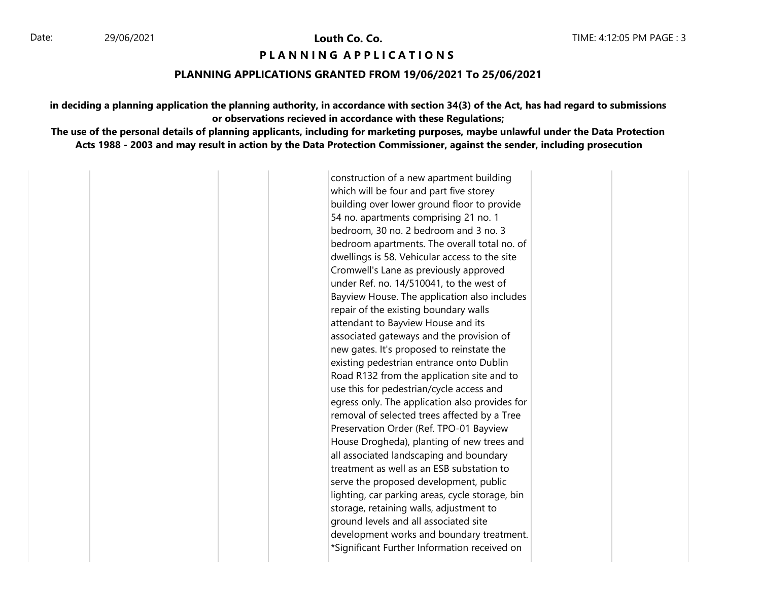#### **PIANNING APPIICATIONS**

#### **PLANNING APPLICATIONS GRANTED FROM 19/06/2021 To 25/06/2021**

**in deciding a planning application the planning authority, in accordance with section 34(3) of the Act, has had regard to submissions or observations recieved in accordance with these Regulations;**

**The use of the personal details of planning applicants, including for marketing purposes, maybe unlawful under the Data Protection Acts 1988 - 2003 and may result in action by the Data Protection Commissioner, against the sender, including prosecution**

> construction of a new apartment building which will be four and part five storey building over lower ground floor to provide 54 no. apartments comprising 21 no. 1 bedroom, 30 no. 2 bedroom and 3 no. 3 bedroom apartments. The overall total no. of dwellings is 58. Vehicular access to the site Cromwell's Lane as previously approved under Ref. no. 14/510041, to the west of Bayview House. The application also includes repair of the existing boundary walls attendant to Bayview House and its associated gateways and the provision of new gates. It's proposed to reinstate the existing pedestrian entrance onto Dublin Road R132 from the application site and to use this for pedestrian/cycle access and egress only. The application also provides for removal of selected trees affected by a Tree Preservation Order (Ref. TPO-01 Bayview House Drogheda), planting of new trees and all associated landscaping and boundary treatment as well as an ESB substation to serve the proposed development, public lighting, car parking areas, cycle storage, bin storage, retaining walls, adjustment to ground levels and all associated site development works and boundary treatment. \*Significant Further Information received on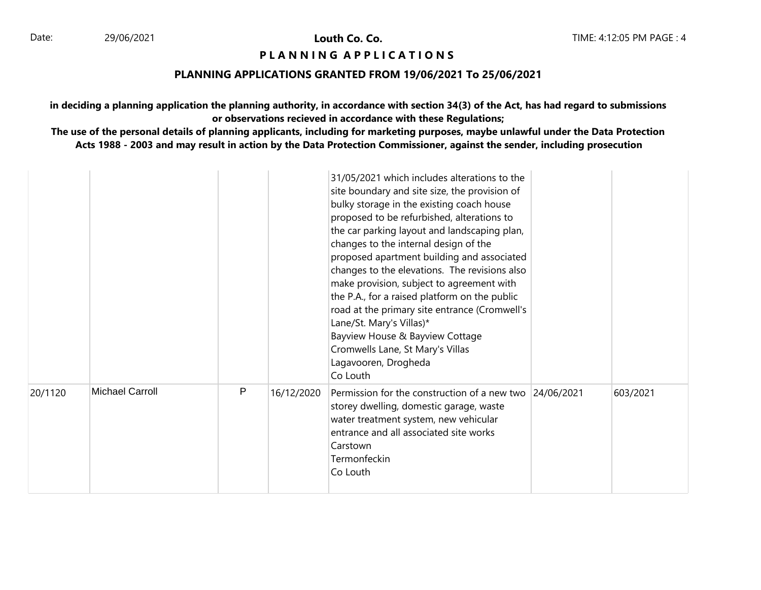# **PIANNING APPLICATIONS**

#### **PLANNING APPLICATIONS GRANTED FROM 19/06/2021 To 25/06/2021**

**in deciding a planning application the planning authority, in accordance with section 34(3) of the Act, has had regard to submissions or observations recieved in accordance with these Regulations;**

|         |                        |   |            | 31/05/2021 which includes alterations to the<br>site boundary and site size, the provision of<br>bulky storage in the existing coach house<br>proposed to be refurbished, alterations to<br>the car parking layout and landscaping plan,<br>changes to the internal design of the<br>proposed apartment building and associated<br>changes to the elevations. The revisions also<br>make provision, subject to agreement with<br>the P.A., for a raised platform on the public<br>road at the primary site entrance (Cromwell's<br>Lane/St. Mary's Villas)*<br>Bayview House & Bayview Cottage<br>Cromwells Lane, St Mary's Villas<br>Lagavooren, Drogheda<br>Co Louth |          |
|---------|------------------------|---|------------|------------------------------------------------------------------------------------------------------------------------------------------------------------------------------------------------------------------------------------------------------------------------------------------------------------------------------------------------------------------------------------------------------------------------------------------------------------------------------------------------------------------------------------------------------------------------------------------------------------------------------------------------------------------------|----------|
| 20/1120 | <b>Michael Carroll</b> | P | 16/12/2020 | Permission for the construction of a new two 24/06/2021<br>storey dwelling, domestic garage, waste<br>water treatment system, new vehicular<br>entrance and all associated site works<br>Carstown<br>Termonfeckin<br>Co Louth                                                                                                                                                                                                                                                                                                                                                                                                                                          | 603/2021 |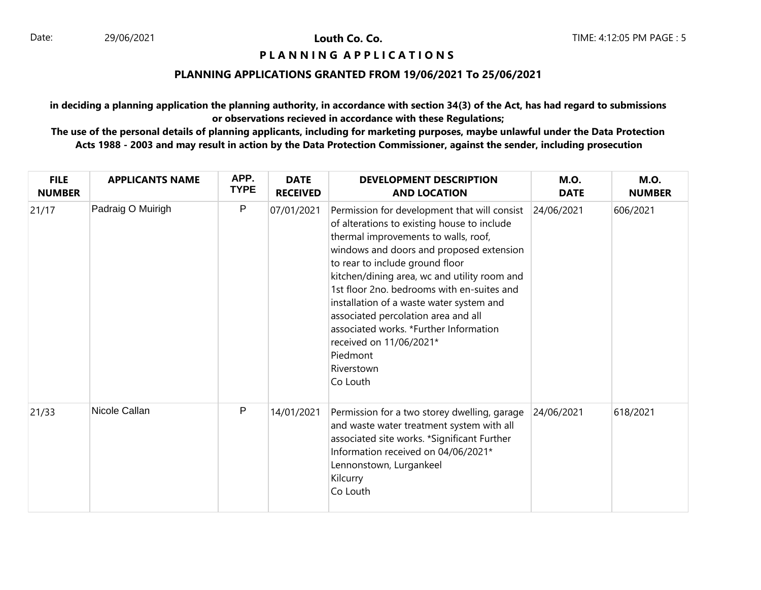# **PIANNING APPLICATIONS**

# **PLANNING APPLICATIONS GRANTED FROM 19/06/2021 To 25/06/2021**

**in deciding a planning application the planning authority, in accordance with section 34(3) of the Act, has had regard to submissions or observations recieved in accordance with these Regulations;**

| <b>FILE</b><br><b>NUMBER</b> | <b>APPLICANTS NAME</b> | APP.<br><b>TYPE</b> | <b>DATE</b><br><b>RECEIVED</b> | <b>DEVELOPMENT DESCRIPTION</b><br><b>AND LOCATION</b>                                                                                                                                                                                                                                                                                                                                                                                                                                                          | <b>M.O.</b><br><b>DATE</b> | <b>M.O.</b><br><b>NUMBER</b> |
|------------------------------|------------------------|---------------------|--------------------------------|----------------------------------------------------------------------------------------------------------------------------------------------------------------------------------------------------------------------------------------------------------------------------------------------------------------------------------------------------------------------------------------------------------------------------------------------------------------------------------------------------------------|----------------------------|------------------------------|
| 21/17                        | Padraig O Muirigh      | ${\sf P}$           | 07/01/2021                     | Permission for development that will consist<br>of alterations to existing house to include<br>thermal improvements to walls, roof,<br>windows and doors and proposed extension<br>to rear to include ground floor<br>kitchen/dining area, wc and utility room and<br>1st floor 2no. bedrooms with en-suites and<br>installation of a waste water system and<br>associated percolation area and all<br>associated works. *Further Information<br>received on 11/06/2021*<br>Piedmont<br>Riverstown<br>Co Louth | 24/06/2021                 | 606/2021                     |
| 21/33                        | Nicole Callan          | P                   | 14/01/2021                     | Permission for a two storey dwelling, garage<br>and waste water treatment system with all<br>associated site works. *Significant Further<br>Information received on 04/06/2021*<br>Lennonstown, Lurgankeel<br>Kilcurry<br>Co Louth                                                                                                                                                                                                                                                                             | 24/06/2021                 | 618/2021                     |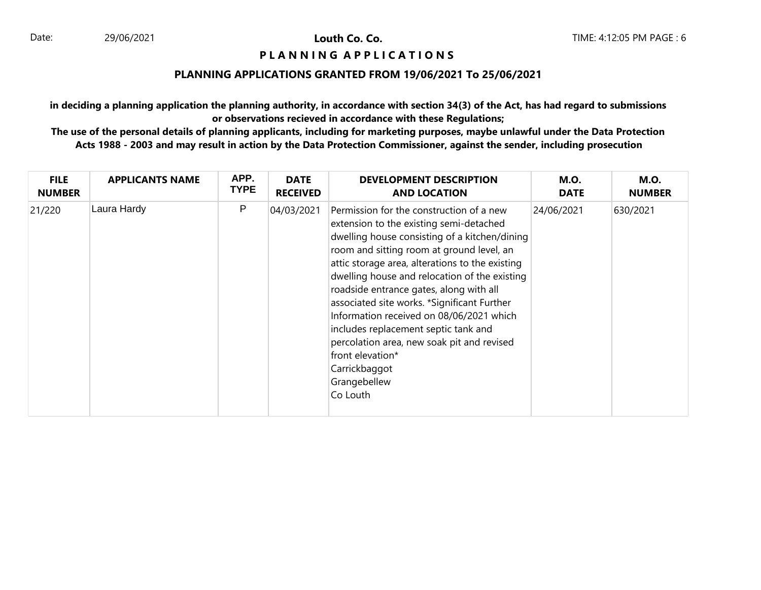# **P L A N N I N G A P P L I C A T I O N S**

# **PLANNING APPLICATIONS GRANTED FROM 19/06/2021 To 25/06/2021**

**in deciding a planning application the planning authority, in accordance with section 34(3) of the Act, has had regard to submissions or observations recieved in accordance with these Regulations;**

| <b>FILE</b>   | <b>APPLICANTS NAME</b> | APP.        | <b>DATE</b>     | <b>DEVELOPMENT DESCRIPTION</b>                                                                                                                                                                                                                                                                                                                                                                                                                                                                                                                                                     | <b>M.O.</b> | <b>M.O.</b>   |
|---------------|------------------------|-------------|-----------------|------------------------------------------------------------------------------------------------------------------------------------------------------------------------------------------------------------------------------------------------------------------------------------------------------------------------------------------------------------------------------------------------------------------------------------------------------------------------------------------------------------------------------------------------------------------------------------|-------------|---------------|
| <b>NUMBER</b> |                        | <b>TYPE</b> | <b>RECEIVED</b> | <b>AND LOCATION</b>                                                                                                                                                                                                                                                                                                                                                                                                                                                                                                                                                                | <b>DATE</b> | <b>NUMBER</b> |
| 21/220        | Laura Hardy            | P           | 04/03/2021      | Permission for the construction of a new<br>extension to the existing semi-detached<br>dwelling house consisting of a kitchen/dining<br>room and sitting room at ground level, an<br>attic storage area, alterations to the existing<br>dwelling house and relocation of the existing<br>roadside entrance gates, along with all<br>associated site works. *Significant Further<br>Information received on 08/06/2021 which<br>includes replacement septic tank and<br>percolation area, new soak pit and revised<br>front elevation*<br>Carrickbaggot<br>Grangebellew<br>Co Louth | 24/06/2021  | 630/2021      |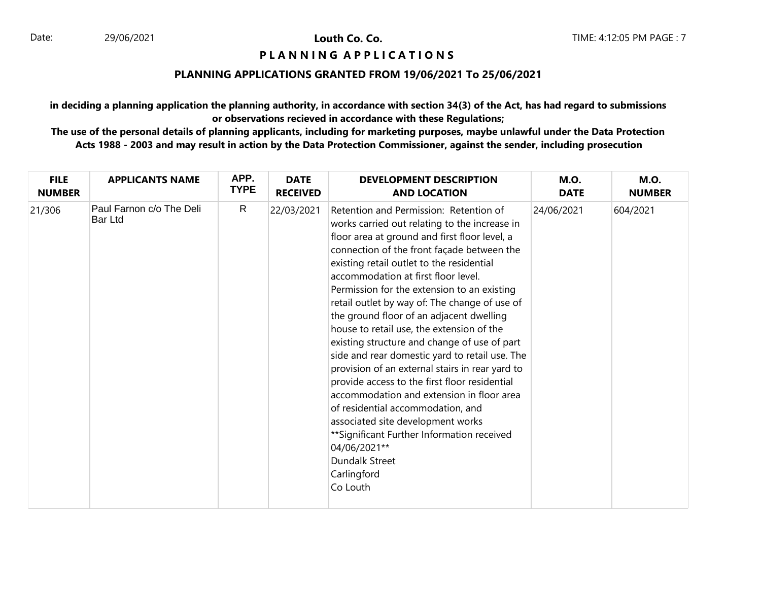# **PIANNING APPLICATIONS**

# **PLANNING APPLICATIONS GRANTED FROM 19/06/2021 To 25/06/2021**

**in deciding a planning application the planning authority, in accordance with section 34(3) of the Act, has had regard to submissions or observations recieved in accordance with these Regulations;**

| <b>FILE</b>   | <b>APPLICANTS NAME</b>              | APP.         | <b>DATE</b>     | <b>DEVELOPMENT DESCRIPTION</b>                                                                                                                                                                                                                                                                                                                                                                                                                                                                                                                                                                                                                                                                                                                                                                                                                                                                                      | <b>M.O.</b> | <b>M.O.</b>   |
|---------------|-------------------------------------|--------------|-----------------|---------------------------------------------------------------------------------------------------------------------------------------------------------------------------------------------------------------------------------------------------------------------------------------------------------------------------------------------------------------------------------------------------------------------------------------------------------------------------------------------------------------------------------------------------------------------------------------------------------------------------------------------------------------------------------------------------------------------------------------------------------------------------------------------------------------------------------------------------------------------------------------------------------------------|-------------|---------------|
| <b>NUMBER</b> |                                     | <b>TYPE</b>  | <b>RECEIVED</b> | <b>AND LOCATION</b>                                                                                                                                                                                                                                                                                                                                                                                                                                                                                                                                                                                                                                                                                                                                                                                                                                                                                                 | <b>DATE</b> | <b>NUMBER</b> |
| 21/306        | Paul Farnon c/o The Deli<br>Bar Ltd | $\mathsf{R}$ | 22/03/2021      | Retention and Permission: Retention of<br>works carried out relating to the increase in<br>floor area at ground and first floor level, a<br>connection of the front façade between the<br>existing retail outlet to the residential<br>accommodation at first floor level.<br>Permission for the extension to an existing<br>retail outlet by way of: The change of use of<br>the ground floor of an adjacent dwelling<br>house to retail use, the extension of the<br>existing structure and change of use of part<br>side and rear domestic yard to retail use. The<br>provision of an external stairs in rear yard to<br>provide access to the first floor residential<br>accommodation and extension in floor area<br>of residential accommodation, and<br>associated site development works<br>** Significant Further Information received<br>04/06/2021**<br><b>Dundalk Street</b><br>Carlingford<br>Co Louth | 24/06/2021  | 604/2021      |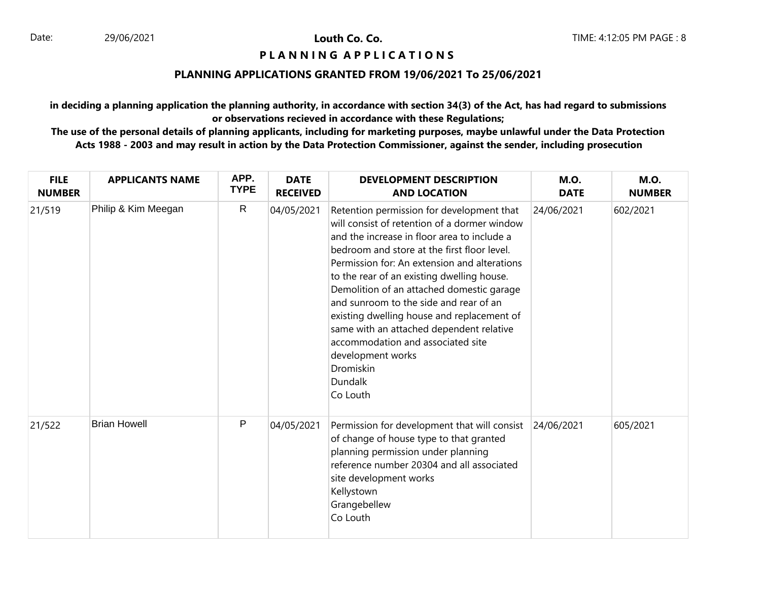# **PIANNING APPLICATIONS**

#### **PLANNING APPLICATIONS GRANTED FROM 19/06/2021 To 25/06/2021**

**in deciding a planning application the planning authority, in accordance with section 34(3) of the Act, has had regard to submissions or observations recieved in accordance with these Regulations;**

| <b>FILE</b><br><b>NUMBER</b> | <b>APPLICANTS NAME</b> | APP.<br><b>TYPE</b> | <b>DATE</b><br><b>RECEIVED</b> | <b>DEVELOPMENT DESCRIPTION</b><br><b>AND LOCATION</b>                                                                                                                                                                                                                                                                                                                                                                                                                                                                                                                | <b>M.O.</b><br><b>DATE</b> | <b>M.O.</b><br><b>NUMBER</b> |
|------------------------------|------------------------|---------------------|--------------------------------|----------------------------------------------------------------------------------------------------------------------------------------------------------------------------------------------------------------------------------------------------------------------------------------------------------------------------------------------------------------------------------------------------------------------------------------------------------------------------------------------------------------------------------------------------------------------|----------------------------|------------------------------|
| 21/519                       | Philip & Kim Meegan    | $\mathsf{R}$        | 04/05/2021                     | Retention permission for development that<br>will consist of retention of a dormer window<br>and the increase in floor area to include a<br>bedroom and store at the first floor level.<br>Permission for: An extension and alterations<br>to the rear of an existing dwelling house.<br>Demolition of an attached domestic garage<br>and sunroom to the side and rear of an<br>existing dwelling house and replacement of<br>same with an attached dependent relative<br>accommodation and associated site<br>development works<br>Dromiskin<br>Dundalk<br>Co Louth | 24/06/2021                 | 602/2021                     |
| 21/522                       | <b>Brian Howell</b>    | P                   | 04/05/2021                     | Permission for development that will consist<br>of change of house type to that granted<br>planning permission under planning<br>reference number 20304 and all associated<br>site development works<br>Kellystown<br>Grangebellew<br>Co Louth                                                                                                                                                                                                                                                                                                                       | 24/06/2021                 | 605/2021                     |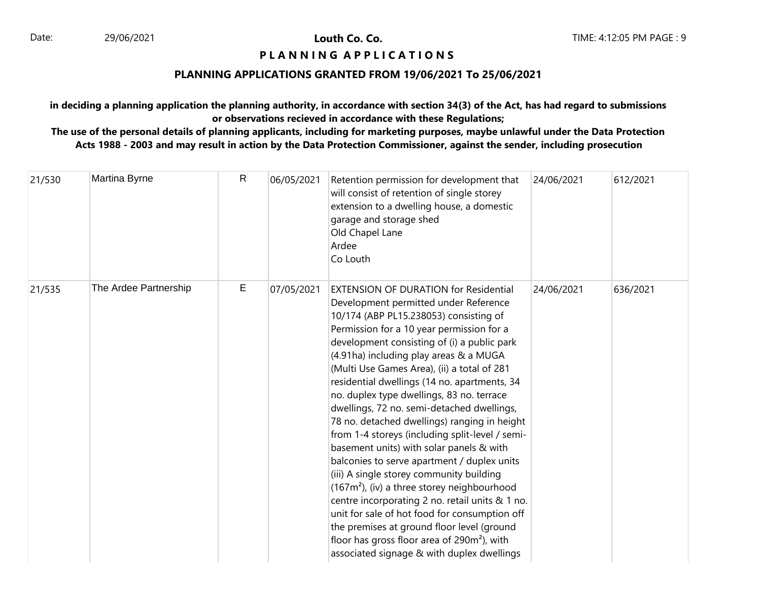# **P L A N N I N G A P P L I C A T I O N S**

# **PLANNING APPLICATIONS GRANTED FROM 19/06/2021 To 25/06/2021**

**in deciding a planning application the planning authority, in accordance with section 34(3) of the Act, has had regard to submissions or observations recieved in accordance with these Regulations;**

| 21/530 | Martina Byrne         | $\mathsf{R}$ | 06/05/2021 | Retention permission for development that<br>will consist of retention of single storey<br>extension to a dwelling house, a domestic<br>garage and storage shed<br>Old Chapel Lane<br>Ardee<br>Co Louth                                                                                                                                                                                                                                                                                                                                                                                                                                                                                                                                                                                                                                                                                                                                                                                                      | 24/06/2021 | 612/2021 |
|--------|-----------------------|--------------|------------|--------------------------------------------------------------------------------------------------------------------------------------------------------------------------------------------------------------------------------------------------------------------------------------------------------------------------------------------------------------------------------------------------------------------------------------------------------------------------------------------------------------------------------------------------------------------------------------------------------------------------------------------------------------------------------------------------------------------------------------------------------------------------------------------------------------------------------------------------------------------------------------------------------------------------------------------------------------------------------------------------------------|------------|----------|
| 21/535 | The Ardee Partnership | Е            | 07/05/2021 | <b>EXTENSION OF DURATION for Residential</b><br>Development permitted under Reference<br>10/174 (ABP PL15.238053) consisting of<br>Permission for a 10 year permission for a<br>development consisting of (i) a public park<br>(4.91ha) including play areas & a MUGA<br>(Multi Use Games Area), (ii) a total of 281<br>residential dwellings (14 no. apartments, 34<br>no. duplex type dwellings, 83 no. terrace<br>dwellings, 72 no. semi-detached dwellings,<br>78 no. detached dwellings) ranging in height<br>from 1-4 storeys (including split-level / semi-<br>basement units) with solar panels & with<br>balconies to serve apartment / duplex units<br>(iii) A single storey community building<br>$(167m2)$ , (iv) a three storey neighbourhood<br>centre incorporating 2 no. retail units & 1 no.<br>unit for sale of hot food for consumption off<br>the premises at ground floor level (ground<br>floor has gross floor area of $290m^2$ ), with<br>associated signage & with duplex dwellings | 24/06/2021 | 636/2021 |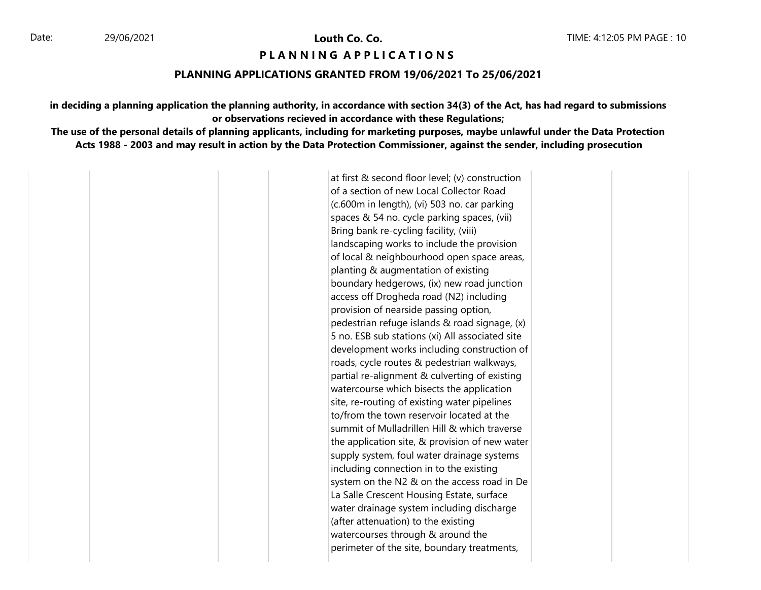#### **PIANNING APPIICATIONS**

#### **PLANNING APPLICATIONS GRANTED FROM 19/06/2021 To 25/06/2021**

**in deciding a planning application the planning authority, in accordance with section 34(3) of the Act, has had regard to submissions or observations recieved in accordance with these Regulations;**

**The use of the personal details of planning applicants, including for marketing purposes, maybe unlawful under the Data Protection Acts 1988 - 2003 and may result in action by the Data Protection Commissioner, against the sender, including prosecution**

> at first & second floor level; (v) construction of a section of new Local Collector Road (c.600m in length), (vi) 503 no. car parking spaces & 54 no. cycle parking spaces, (vii) Bring bank re-cycling facility, (viii) landscaping works to include the provision of local & neighbourhood open space areas, planting & augmentation of existing boundary hedgerows, (ix) new road junction access off Drogheda road (N2) including provision of nearside passing option, pedestrian refuge islands & road signage, (x) 5 no. ESB sub stations (xi) All associated site development works including construction of roads, cycle routes & pedestrian walkways, partial re-alignment & culverting of existing watercourse which bisects the application site, re-routing of existing water pipelines to/from the town reservoir located at the summit of Mulladrillen Hill & which traverse the application site, & provision of new water supply system, foul water drainage systems including connection in to the existing system on the N2 & on the access road in De La Salle Crescent Housing Estate, surface water drainage system including discharge (after attenuation) to the existing watercourses through & around the perimeter of the site, boundary treatments,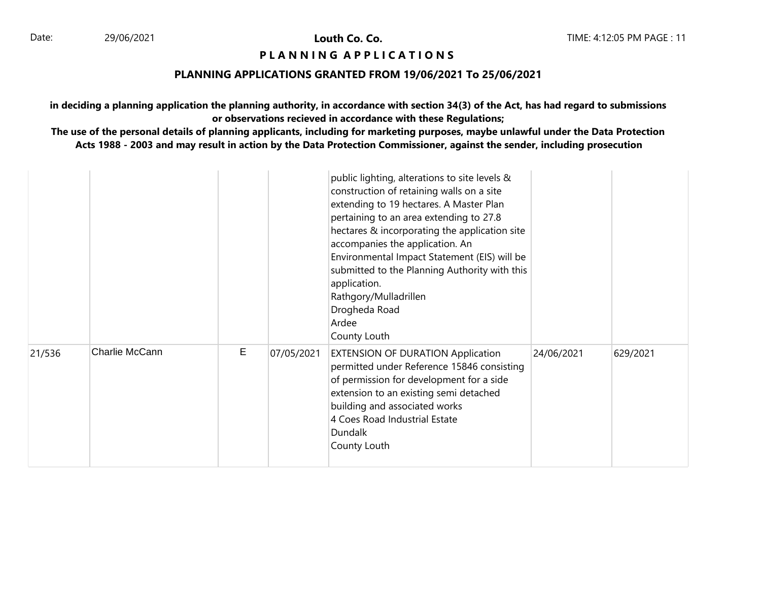# **PIANNING APPLICATIONS**

#### **PLANNING APPLICATIONS GRANTED FROM 19/06/2021 To 25/06/2021**

**in deciding a planning application the planning authority, in accordance with section 34(3) of the Act, has had regard to submissions or observations recieved in accordance with these Regulations;**

|        |                |   |            | public lighting, alterations to site levels &<br>construction of retaining walls on a site<br>extending to 19 hectares. A Master Plan<br>pertaining to an area extending to 27.8<br>hectares & incorporating the application site<br>accompanies the application. An<br>Environmental Impact Statement (EIS) will be<br>submitted to the Planning Authority with this<br>application.<br>Rathgory/Mulladrillen<br>Drogheda Road<br>Ardee<br>County Louth |            |          |
|--------|----------------|---|------------|----------------------------------------------------------------------------------------------------------------------------------------------------------------------------------------------------------------------------------------------------------------------------------------------------------------------------------------------------------------------------------------------------------------------------------------------------------|------------|----------|
| 21/536 | Charlie McCann | E | 07/05/2021 | <b>EXTENSION OF DURATION Application</b><br>permitted under Reference 15846 consisting<br>of permission for development for a side<br>extension to an existing semi detached<br>building and associated works<br>4 Coes Road Industrial Estate<br><b>Dundalk</b><br>County Louth                                                                                                                                                                         | 24/06/2021 | 629/2021 |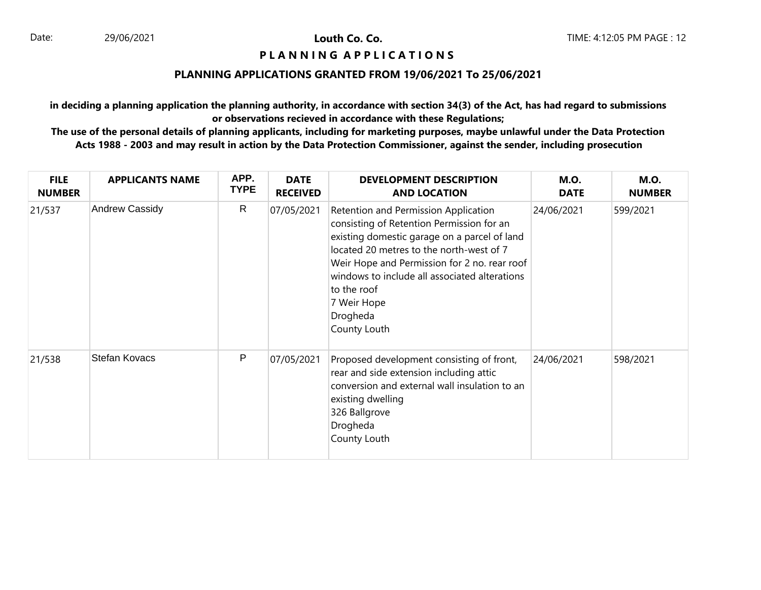# **PIANNING APPLICATIONS**

#### **PLANNING APPLICATIONS GRANTED FROM 19/06/2021 To 25/06/2021**

**in deciding a planning application the planning authority, in accordance with section 34(3) of the Act, has had regard to submissions or observations recieved in accordance with these Regulations;**

| <b>FILE</b><br><b>NUMBER</b> | <b>APPLICANTS NAME</b> | APP.<br><b>TYPE</b> | <b>DATE</b><br><b>RECEIVED</b> | <b>DEVELOPMENT DESCRIPTION</b><br><b>AND LOCATION</b>                                                                                                                                                                                                                                                                                    | <b>M.O.</b><br><b>DATE</b> | <b>M.O.</b><br><b>NUMBER</b> |
|------------------------------|------------------------|---------------------|--------------------------------|------------------------------------------------------------------------------------------------------------------------------------------------------------------------------------------------------------------------------------------------------------------------------------------------------------------------------------------|----------------------------|------------------------------|
| 21/537                       | Andrew Cassidy         | R                   | 07/05/2021                     | Retention and Permission Application<br>consisting of Retention Permission for an<br>existing domestic garage on a parcel of land<br>located 20 metres to the north-west of 7<br>Weir Hope and Permission for 2 no. rear roof<br>windows to include all associated alterations<br>to the roof<br>7 Weir Hope<br>Drogheda<br>County Louth | 24/06/2021                 | 599/2021                     |
| 21/538                       | Stefan Kovacs          | P                   | 07/05/2021                     | Proposed development consisting of front,<br>rear and side extension including attic<br>conversion and external wall insulation to an<br>existing dwelling<br>326 Ballgrove<br>Drogheda<br>County Louth                                                                                                                                  | 24/06/2021                 | 598/2021                     |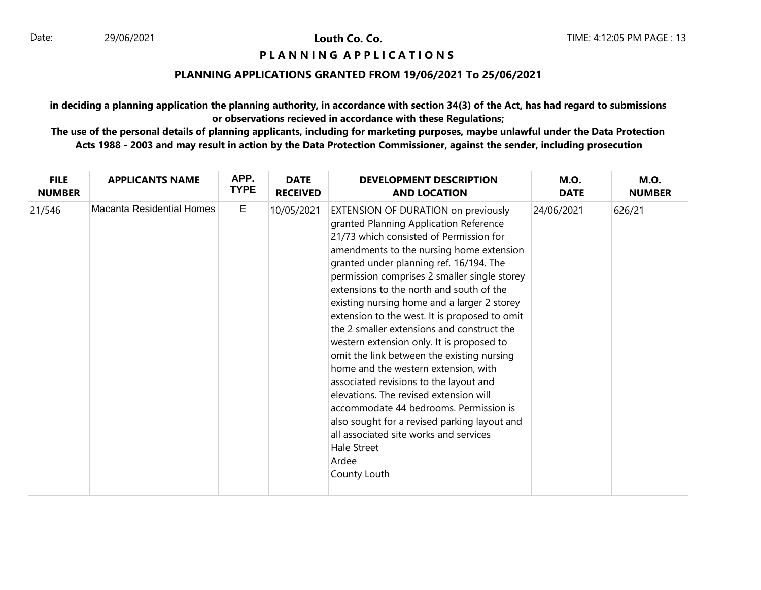# **PIANNING APPLICATIONS**

#### **PLANNING APPLICATIONS GRANTED FROM 19/06/2021 To 25/06/2021**

**in deciding a planning application the planning authority, in accordance with section 34(3) of the Act, has had regard to submissions or observations recieved in accordance with these Regulations;**

| <b>FILE</b>   | <b>APPLICANTS NAME</b>    | APP.        | <b>DATE</b>     | <b>DEVELOPMENT DESCRIPTION</b>                                                                                                                                                                                                                                                                                                                                                                                                                                                                                                                                                                                                                                                                                                                                                                                                                               | <b>M.O.</b> | <b>M.O.</b>   |
|---------------|---------------------------|-------------|-----------------|--------------------------------------------------------------------------------------------------------------------------------------------------------------------------------------------------------------------------------------------------------------------------------------------------------------------------------------------------------------------------------------------------------------------------------------------------------------------------------------------------------------------------------------------------------------------------------------------------------------------------------------------------------------------------------------------------------------------------------------------------------------------------------------------------------------------------------------------------------------|-------------|---------------|
| <b>NUMBER</b> |                           | <b>TYPE</b> | <b>RECEIVED</b> | <b>AND LOCATION</b>                                                                                                                                                                                                                                                                                                                                                                                                                                                                                                                                                                                                                                                                                                                                                                                                                                          | <b>DATE</b> | <b>NUMBER</b> |
| 21/546        | Macanta Residential Homes | E           | 10/05/2021      | EXTENSION OF DURATION on previously<br>granted Planning Application Reference<br>21/73 which consisted of Permission for<br>amendments to the nursing home extension<br>granted under planning ref. 16/194. The<br>permission comprises 2 smaller single storey<br>extensions to the north and south of the<br>existing nursing home and a larger 2 storey<br>extension to the west. It is proposed to omit<br>the 2 smaller extensions and construct the<br>western extension only. It is proposed to<br>omit the link between the existing nursing<br>home and the western extension, with<br>associated revisions to the layout and<br>elevations. The revised extension will<br>accommodate 44 bedrooms. Permission is<br>also sought for a revised parking layout and<br>all associated site works and services<br>Hale Street<br>Ardee<br>County Louth | 24/06/2021  | 626/21        |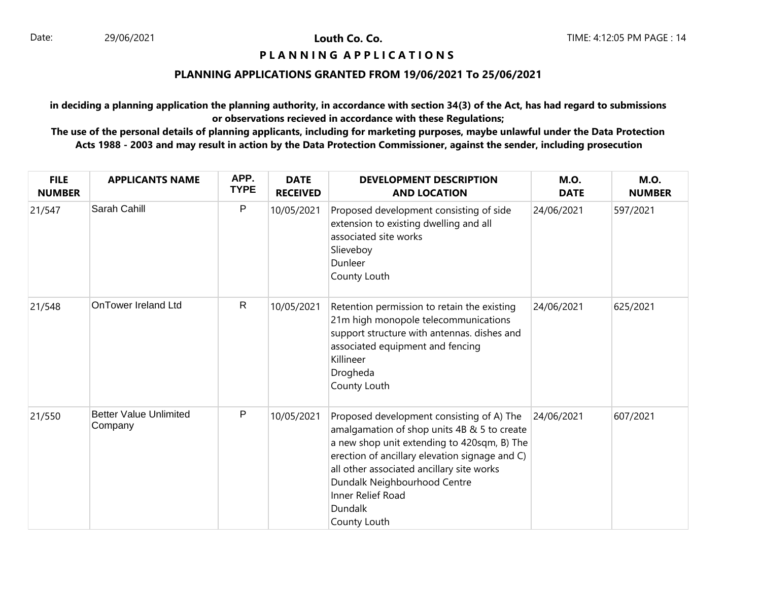# **PIANNING APPLICATIONS**

# **PLANNING APPLICATIONS GRANTED FROM 19/06/2021 To 25/06/2021**

**in deciding a planning application the planning authority, in accordance with section 34(3) of the Act, has had regard to submissions or observations recieved in accordance with these Regulations;**

| <b>FILE</b><br><b>NUMBER</b> | <b>APPLICANTS NAME</b>                   | APP.<br><b>TYPE</b> | <b>DATE</b><br><b>RECEIVED</b> | <b>DEVELOPMENT DESCRIPTION</b><br><b>AND LOCATION</b>                                                                                                                                                                                                                                                                         | <b>M.O.</b><br><b>DATE</b> | <b>M.O.</b><br><b>NUMBER</b> |
|------------------------------|------------------------------------------|---------------------|--------------------------------|-------------------------------------------------------------------------------------------------------------------------------------------------------------------------------------------------------------------------------------------------------------------------------------------------------------------------------|----------------------------|------------------------------|
| 21/547                       | Sarah Cahill                             | $\mathsf{P}$        | 10/05/2021                     | Proposed development consisting of side<br>extension to existing dwelling and all<br>associated site works<br>Slieveboy<br>Dunleer<br>County Louth                                                                                                                                                                            | 24/06/2021                 | 597/2021                     |
| 21/548                       | <b>OnTower Ireland Ltd</b>               | $\mathsf{R}$        | 10/05/2021                     | Retention permission to retain the existing<br>21m high monopole telecommunications<br>support structure with antennas. dishes and<br>associated equipment and fencing<br>Killineer<br>Drogheda<br>County Louth                                                                                                               | 24/06/2021                 | 625/2021                     |
| 21/550                       | <b>Better Value Unlimited</b><br>Company | P                   | 10/05/2021                     | Proposed development consisting of A) The<br>amalgamation of shop units 4B & 5 to create<br>a new shop unit extending to 420sqm, B) The<br>erection of ancillary elevation signage and C)<br>all other associated ancillary site works<br>Dundalk Neighbourhood Centre<br>Inner Relief Road<br><b>Dundalk</b><br>County Louth | 24/06/2021                 | 607/2021                     |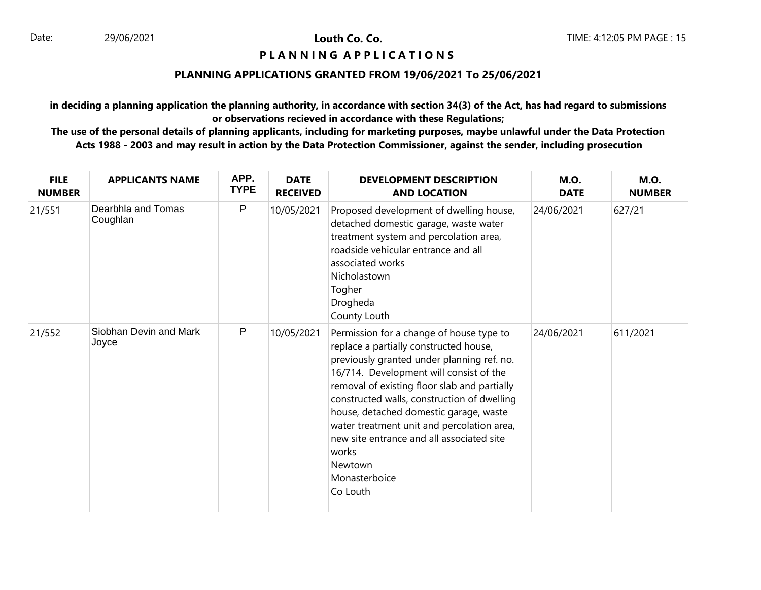# **PIANNING APPLICATIONS**

#### **PLANNING APPLICATIONS GRANTED FROM 19/06/2021 To 25/06/2021**

**in deciding a planning application the planning authority, in accordance with section 34(3) of the Act, has had regard to submissions or observations recieved in accordance with these Regulations;**

| <b>FILE</b><br><b>NUMBER</b> | <b>APPLICANTS NAME</b>          | APP.<br><b>TYPE</b> | <b>DATE</b><br><b>RECEIVED</b> | <b>DEVELOPMENT DESCRIPTION</b><br><b>AND LOCATION</b>                                                                                                                                                                                                                                                                                                                                                                                                            | <b>M.O.</b><br><b>DATE</b> | <b>M.O.</b><br><b>NUMBER</b> |
|------------------------------|---------------------------------|---------------------|--------------------------------|------------------------------------------------------------------------------------------------------------------------------------------------------------------------------------------------------------------------------------------------------------------------------------------------------------------------------------------------------------------------------------------------------------------------------------------------------------------|----------------------------|------------------------------|
| 21/551                       | Dearbhla and Tomas<br>Coughlan  | P                   | 10/05/2021                     | Proposed development of dwelling house,<br>detached domestic garage, waste water<br>treatment system and percolation area,<br>roadside vehicular entrance and all<br>associated works<br>Nicholastown<br>Togher<br>Drogheda<br>County Louth                                                                                                                                                                                                                      | 24/06/2021                 | 627/21                       |
| 21/552                       | Siobhan Devin and Mark<br>Joyce | P                   | 10/05/2021                     | Permission for a change of house type to<br>replace a partially constructed house,<br>previously granted under planning ref. no.<br>16/714. Development will consist of the<br>removal of existing floor slab and partially<br>constructed walls, construction of dwelling<br>house, detached domestic garage, waste<br>water treatment unit and percolation area,<br>new site entrance and all associated site<br>works<br>Newtown<br>Monasterboice<br>Co Louth | 24/06/2021                 | 611/2021                     |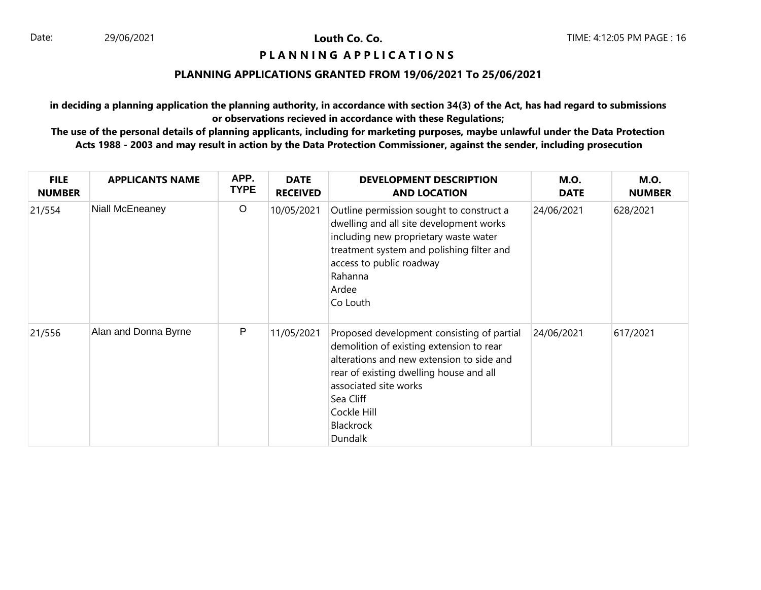# **PIANNING APPLICATIONS**

#### **PLANNING APPLICATIONS GRANTED FROM 19/06/2021 To 25/06/2021**

**in deciding a planning application the planning authority, in accordance with section 34(3) of the Act, has had regard to submissions or observations recieved in accordance with these Regulations;**

| <b>FILE</b><br><b>NUMBER</b> | <b>APPLICANTS NAME</b> | APP.<br><b>TYPE</b> | <b>DATE</b><br><b>RECEIVED</b> | <b>DEVELOPMENT DESCRIPTION</b><br><b>AND LOCATION</b>                                                                                                                                                                                                                     | <b>M.O.</b><br><b>DATE</b> | <b>M.O.</b><br><b>NUMBER</b> |
|------------------------------|------------------------|---------------------|--------------------------------|---------------------------------------------------------------------------------------------------------------------------------------------------------------------------------------------------------------------------------------------------------------------------|----------------------------|------------------------------|
| 21/554                       | Niall McEneaney        | $\circ$             | 10/05/2021                     | Outline permission sought to construct a<br>dwelling and all site development works<br>including new proprietary waste water<br>treatment system and polishing filter and<br>access to public roadway<br>Rahanna<br>Ardee<br>Co Louth                                     | 24/06/2021                 | 628/2021                     |
| 21/556                       | Alan and Donna Byrne   | P                   | 11/05/2021                     | Proposed development consisting of partial<br>demolition of existing extension to rear<br>alterations and new extension to side and<br>rear of existing dwelling house and all<br>associated site works<br>Sea Cliff<br>Cockle Hill<br><b>Blackrock</b><br><b>Dundalk</b> | 24/06/2021                 | 617/2021                     |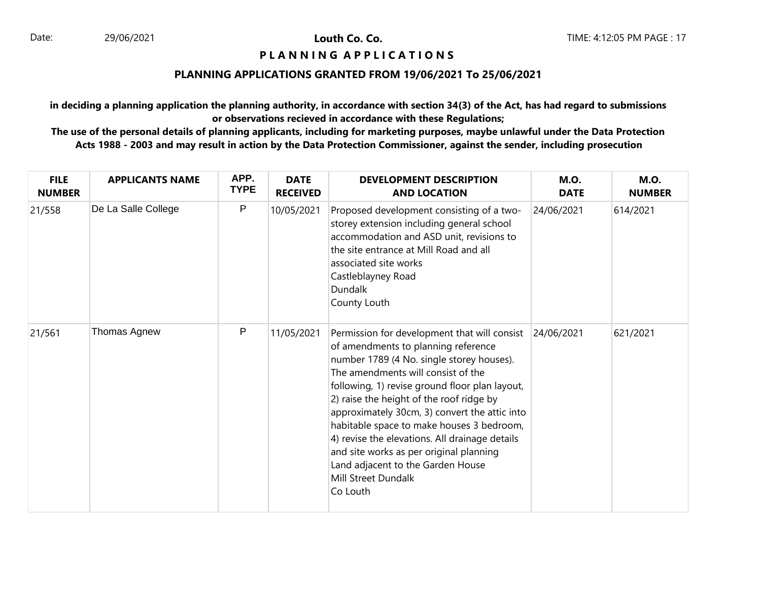# **PIANNING APPLICATIONS**

#### **PLANNING APPLICATIONS GRANTED FROM 19/06/2021 To 25/06/2021**

**in deciding a planning application the planning authority, in accordance with section 34(3) of the Act, has had regard to submissions or observations recieved in accordance with these Regulations;**

| <b>FILE</b><br><b>NUMBER</b> | <b>APPLICANTS NAME</b> | APP.<br><b>TYPE</b> | <b>DATE</b><br><b>RECEIVED</b> | <b>DEVELOPMENT DESCRIPTION</b><br><b>AND LOCATION</b>                                                                                                                                                                                                                                                                                                                                                                                                                                                                                   | <b>M.O.</b><br><b>DATE</b> | <b>M.O.</b><br><b>NUMBER</b> |
|------------------------------|------------------------|---------------------|--------------------------------|-----------------------------------------------------------------------------------------------------------------------------------------------------------------------------------------------------------------------------------------------------------------------------------------------------------------------------------------------------------------------------------------------------------------------------------------------------------------------------------------------------------------------------------------|----------------------------|------------------------------|
| 21/558                       | De La Salle College    | P                   | 10/05/2021                     | Proposed development consisting of a two-<br>storey extension including general school<br>accommodation and ASD unit, revisions to<br>the site entrance at Mill Road and all<br>associated site works<br>Castleblayney Road<br><b>Dundalk</b><br>County Louth                                                                                                                                                                                                                                                                           | 24/06/2021                 | 614/2021                     |
| 21/561                       | Thomas Agnew           | P                   | 11/05/2021                     | Permission for development that will consist<br>of amendments to planning reference<br>number 1789 (4 No. single storey houses).<br>The amendments will consist of the<br>following, 1) revise ground floor plan layout,<br>2) raise the height of the roof ridge by<br>approximately 30cm, 3) convert the attic into<br>habitable space to make houses 3 bedroom,<br>4) revise the elevations. All drainage details<br>and site works as per original planning<br>Land adjacent to the Garden House<br>Mill Street Dundalk<br>Co Louth | 24/06/2021                 | 621/2021                     |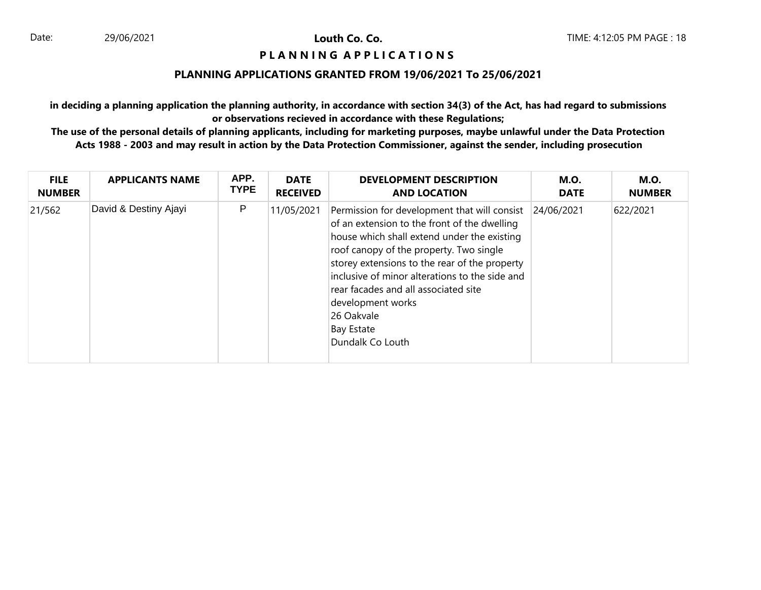# **P L A N N I N G A P P L I C A T I O N S**

#### **PLANNING APPLICATIONS GRANTED FROM 19/06/2021 To 25/06/2021**

**in deciding a planning application the planning authority, in accordance with section 34(3) of the Act, has had regard to submissions or observations recieved in accordance with these Regulations;**

| <b>FILE</b>   | <b>APPLICANTS NAME</b> | APP.        | <b>DATE</b>     | <b>DEVELOPMENT DESCRIPTION</b>                                                                                                                                                                                                                                                                                                                                                                                | <b>M.O.</b> | <b>M.O.</b>   |
|---------------|------------------------|-------------|-----------------|---------------------------------------------------------------------------------------------------------------------------------------------------------------------------------------------------------------------------------------------------------------------------------------------------------------------------------------------------------------------------------------------------------------|-------------|---------------|
| <b>NUMBER</b> |                        | <b>TYPE</b> | <b>RECEIVED</b> | <b>AND LOCATION</b>                                                                                                                                                                                                                                                                                                                                                                                           | <b>DATE</b> | <b>NUMBER</b> |
| 21/562        | David & Destiny Ajayi  | P           | 11/05/2021      | Permission for development that will consist<br>of an extension to the front of the dwelling<br>house which shall extend under the existing<br>roof canopy of the property. Two single<br>storey extensions to the rear of the property<br>inclusive of minor alterations to the side and<br>rear facades and all associated site<br>development works<br>26 Oakvale<br><b>Bay Estate</b><br>Dundalk Co Louth | 24/06/2021  | 622/2021      |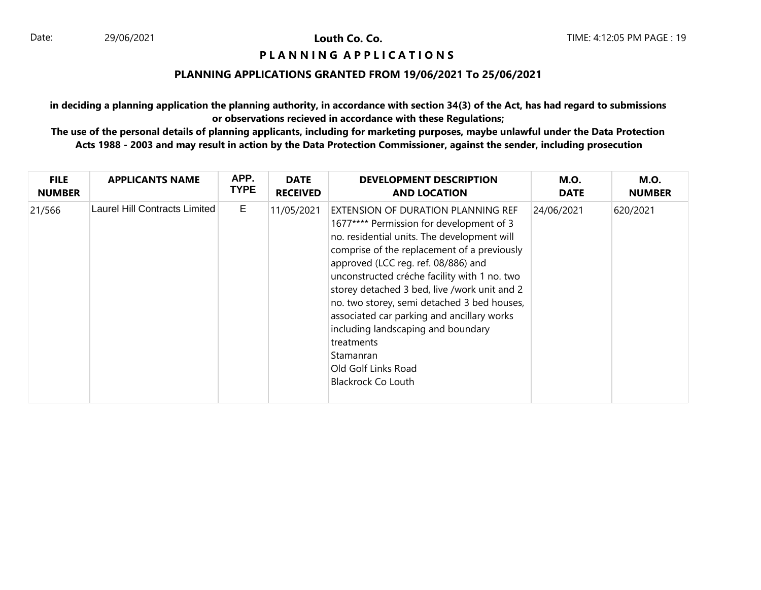# **P L A N N I N G A P P L I C A T I O N S**

#### **PLANNING APPLICATIONS GRANTED FROM 19/06/2021 To 25/06/2021**

**in deciding a planning application the planning authority, in accordance with section 34(3) of the Act, has had regard to submissions or observations recieved in accordance with these Regulations;**

| <b>FILE</b>   | <b>APPLICANTS NAME</b>        | APP.        | <b>DATE</b>     | <b>DEVELOPMENT DESCRIPTION</b>                                                                                                                                                                                                                                                                                                                                                                                                                                                                                                        | <b>M.O.</b> | <b>M.O.</b>   |
|---------------|-------------------------------|-------------|-----------------|---------------------------------------------------------------------------------------------------------------------------------------------------------------------------------------------------------------------------------------------------------------------------------------------------------------------------------------------------------------------------------------------------------------------------------------------------------------------------------------------------------------------------------------|-------------|---------------|
| <b>NUMBER</b> |                               | <b>TYPE</b> | <b>RECEIVED</b> | <b>AND LOCATION</b>                                                                                                                                                                                                                                                                                                                                                                                                                                                                                                                   | <b>DATE</b> | <b>NUMBER</b> |
| 21/566        | Laurel Hill Contracts Limited | E           | 11/05/2021      | EXTENSION OF DURATION PLANNING REF<br>1677**** Permission for development of 3<br>no. residential units. The development will<br>comprise of the replacement of a previously<br>approved (LCC reg. ref. 08/886) and<br>unconstructed créche facility with 1 no. two<br>storey detached 3 bed, live /work unit and 2<br>no. two storey, semi detached 3 bed houses,<br>associated car parking and ancillary works<br>including landscaping and boundary<br>treatments<br>Stamanran<br>Old Golf Links Road<br><b>Blackrock Co Louth</b> | 24/06/2021  | 620/2021      |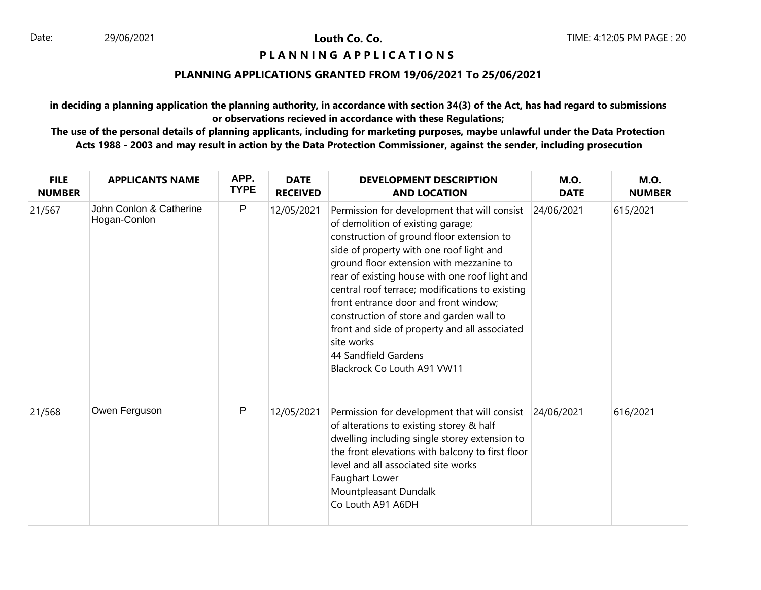# **PIANNING APPLICATIONS**

#### **PLANNING APPLICATIONS GRANTED FROM 19/06/2021 To 25/06/2021**

**in deciding a planning application the planning authority, in accordance with section 34(3) of the Act, has had regard to submissions or observations recieved in accordance with these Regulations;**

| <b>FILE</b><br><b>NUMBER</b> | <b>APPLICANTS NAME</b>                  | APP.<br><b>TYPE</b> | <b>DATE</b><br><b>RECEIVED</b> | <b>DEVELOPMENT DESCRIPTION</b><br><b>AND LOCATION</b>                                                                                                                                                                                                                                                                                                                                                                                                                                                                                             | <b>M.O.</b><br><b>DATE</b> | <b>M.O.</b><br><b>NUMBER</b> |
|------------------------------|-----------------------------------------|---------------------|--------------------------------|---------------------------------------------------------------------------------------------------------------------------------------------------------------------------------------------------------------------------------------------------------------------------------------------------------------------------------------------------------------------------------------------------------------------------------------------------------------------------------------------------------------------------------------------------|----------------------------|------------------------------|
| 21/567                       | John Conlon & Catherine<br>Hogan-Conlon | P                   | 12/05/2021                     | Permission for development that will consist 24/06/2021<br>of demolition of existing garage;<br>construction of ground floor extension to<br>side of property with one roof light and<br>ground floor extension with mezzanine to<br>rear of existing house with one roof light and<br>central roof terrace; modifications to existing<br>front entrance door and front window;<br>construction of store and garden wall to<br>front and side of property and all associated<br>site works<br>44 Sandfield Gardens<br>Blackrock Co Louth A91 VW11 |                            | 615/2021                     |
| 21/568                       | Owen Ferguson                           | P                   | 12/05/2021                     | Permission for development that will consist 24/06/2021<br>of alterations to existing storey & half<br>dwelling including single storey extension to<br>the front elevations with balcony to first floor<br>level and all associated site works<br>Faughart Lower<br>Mountpleasant Dundalk<br>Co Louth A91 A6DH                                                                                                                                                                                                                                   |                            | 616/2021                     |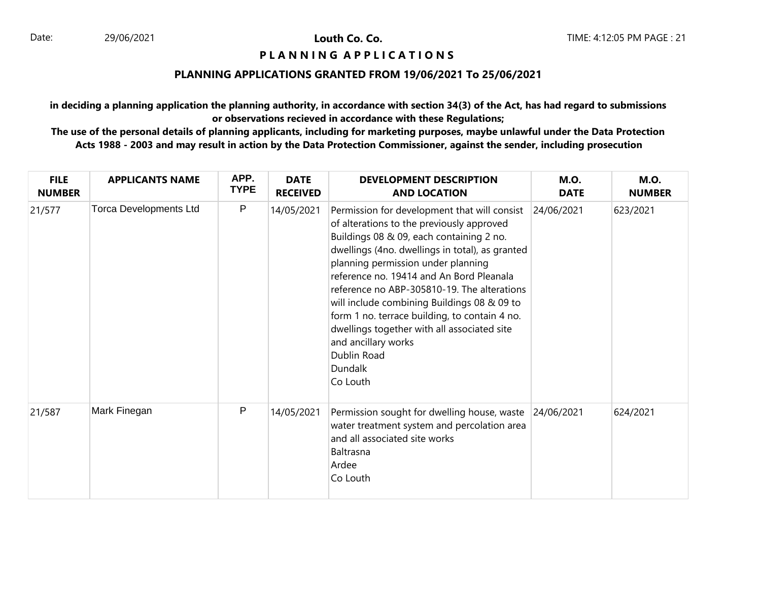# **PIANNING APPLICATIONS**

#### **PLANNING APPLICATIONS GRANTED FROM 19/06/2021 To 25/06/2021**

**in deciding a planning application the planning authority, in accordance with section 34(3) of the Act, has had regard to submissions or observations recieved in accordance with these Regulations;**

| <b>FILE</b><br><b>NUMBER</b> | <b>APPLICANTS NAME</b>        | APP.<br><b>TYPE</b> | <b>DATE</b><br><b>RECEIVED</b> | <b>DEVELOPMENT DESCRIPTION</b><br><b>AND LOCATION</b>                                                                                                                                                                                                                                                                                                                                                                                                                                                                                        | <b>M.O.</b><br><b>DATE</b> | <b>M.O.</b><br><b>NUMBER</b> |
|------------------------------|-------------------------------|---------------------|--------------------------------|----------------------------------------------------------------------------------------------------------------------------------------------------------------------------------------------------------------------------------------------------------------------------------------------------------------------------------------------------------------------------------------------------------------------------------------------------------------------------------------------------------------------------------------------|----------------------------|------------------------------|
| 21/577                       | <b>Torca Developments Ltd</b> | $\mathsf{P}$        | 14/05/2021                     | Permission for development that will consist<br>of alterations to the previously approved<br>Buildings 08 & 09, each containing 2 no.<br>dwellings (4no. dwellings in total), as granted<br>planning permission under planning<br>reference no. 19414 and An Bord Pleanala<br>reference no ABP-305810-19. The alterations<br>will include combining Buildings 08 & 09 to<br>form 1 no. terrace building, to contain 4 no.<br>dwellings together with all associated site<br>and ancillary works<br>Dublin Road<br><b>Dundalk</b><br>Co Louth | 24/06/2021                 | 623/2021                     |
| 21/587                       | Mark Finegan                  | P                   | 14/05/2021                     | Permission sought for dwelling house, waste<br>water treatment system and percolation area<br>and all associated site works<br>Baltrasna<br>Ardee<br>Co Louth                                                                                                                                                                                                                                                                                                                                                                                | 24/06/2021                 | 624/2021                     |